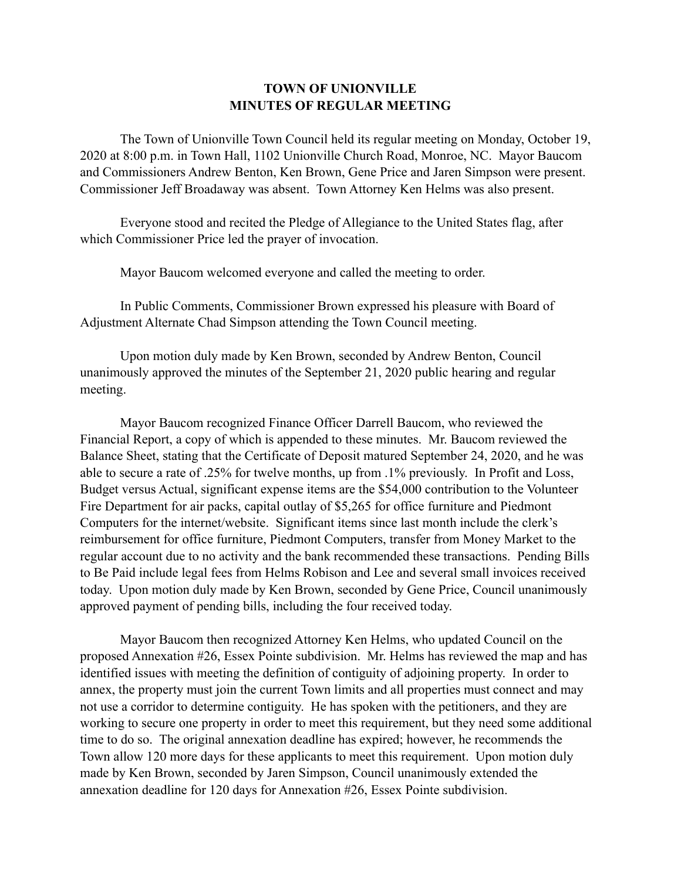## **TOWN OF UNIONVILLE MINUTES OF REGULAR MEETING**

 The Town of Unionville Town Council held its regular meeting on Monday, October 19, 2020 at 8:00 p.m. in Town Hall, 1102 Unionville Church Road, Monroe, NC. Mayor Baucom and Commissioners Andrew Benton, Ken Brown, Gene Price and Jaren Simpson were present. Commissioner Jeff Broadaway was absent. Town Attorney Ken Helms was also present.

 Everyone stood and recited the Pledge of Allegiance to the United States flag, after which Commissioner Price led the prayer of invocation.

Mayor Baucom welcomed everyone and called the meeting to order.

 In Public Comments, Commissioner Brown expressed his pleasure with Board of Adjustment Alternate Chad Simpson attending the Town Council meeting.

 Upon motion duly made by Ken Brown, seconded by Andrew Benton, Council unanimously approved the minutes of the September 21, 2020 public hearing and regular meeting.

 Mayor Baucom recognized Finance Officer Darrell Baucom, who reviewed the Financial Report, a copy of which is appended to these minutes. Mr. Baucom reviewed the Balance Sheet, stating that the Certificate of Deposit matured September 24, 2020, and he was able to secure a rate of .25% for twelve months, up from .1% previously. In Profit and Loss, Budget versus Actual, significant expense items are the \$54,000 contribution to the Volunteer Fire Department for air packs, capital outlay of \$5,265 for office furniture and Piedmont Computers for the internet/website. Significant items since last month include the clerk's reimbursement for office furniture, Piedmont Computers, transfer from Money Market to the regular account due to no activity and the bank recommended these transactions. Pending Bills to Be Paid include legal fees from Helms Robison and Lee and several small invoices received today. Upon motion duly made by Ken Brown, seconded by Gene Price, Council unanimously approved payment of pending bills, including the four received today.

 Mayor Baucom then recognized Attorney Ken Helms, who updated Council on the proposed Annexation #26, Essex Pointe subdivision. Mr. Helms has reviewed the map and has identified issues with meeting the definition of contiguity of adjoining property. In order to annex, the property must join the current Town limits and all properties must connect and may not use a corridor to determine contiguity. He has spoken with the petitioners, and they are working to secure one property in order to meet this requirement, but they need some additional time to do so. The original annexation deadline has expired; however, he recommends the Town allow 120 more days for these applicants to meet this requirement. Upon motion duly made by Ken Brown, seconded by Jaren Simpson, Council unanimously extended the annexation deadline for 120 days for Annexation #26, Essex Pointe subdivision.